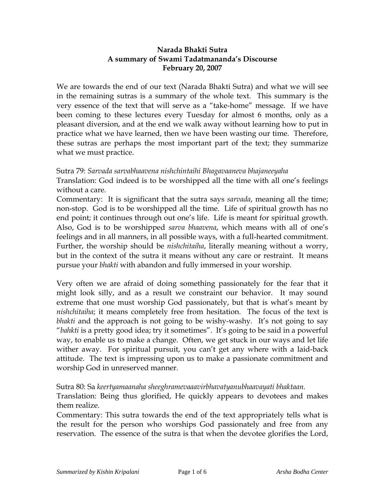## **Narada Bhakti Sutra A summary of Swami Tadatmananda's Discourse February 20, 2007**

We are towards the end of our text (Narada Bhakti Sutra) and what we will see in the remaining sutras is a summary of the whole text. This summary is the very essence of the text that will serve as a "take-home" message. If we have been coming to these lectures every Tuesday for almost 6 months, only as a pleasant diversion, and at the end we walk away without learning how to put in practice what we have learned, then we have been wasting our time. Therefore, these sutras are perhaps the most important part of the text; they summarize what we must practice.

Sutra 79: *Sarvada sarvabhaavena nishchintaihi Bhagavaaneva bhajaneeyaha* 

Translation: God indeed is to be worshipped all the time with all one's feelings without a care.

Commentary: It is significant that the sutra says *sarvada*, meaning all the time; non-stop. God is to be worshipped all the time. Life of spiritual growth has no end point; it continues through out one's life. Life is meant for spiritual growth. Also, God is to be worshipped *sarva bhaavena*, which means with all of one's feelings and in all manners, in all possible ways, with a full-hearted commitment. Further, the worship should be *nishchitaiha*, literally meaning without a worry, but in the context of the sutra it means without any care or restraint. It means pursue your *bhakti* with abandon and fully immersed in your worship.

Very often we are afraid of doing something passionately for the fear that it might look silly, and as a result we constraint our behavior. It may sound extreme that one must worship God passionately, but that is what's meant by *nishchitaiha*; it means completely free from hesitation. The focus of the text is *bhakti* and the approach is not going to be wishy-washy. It's not going to say "*bahkti* is a pretty good idea; try it sometimes". It's going to be said in a powerful way, to enable us to make a change. Often, we get stuck in our ways and let life wither away. For spiritual pursuit, you can't get any where with a laid-back attitude. The text is impressing upon us to make a passionate commitment and worship God in unreserved manner.

Sutra 80: Sa *keertyamaanaha sheeghramevaaavirbhavatyanubhaavayati bhaktaan.* 

Translation: Being thus glorified, He quickly appears to devotees and makes them realize.

Commentary: This sutra towards the end of the text appropriately tells what is the result for the person who worships God passionately and free from any reservation. The essence of the sutra is that when the devotee glorifies the Lord,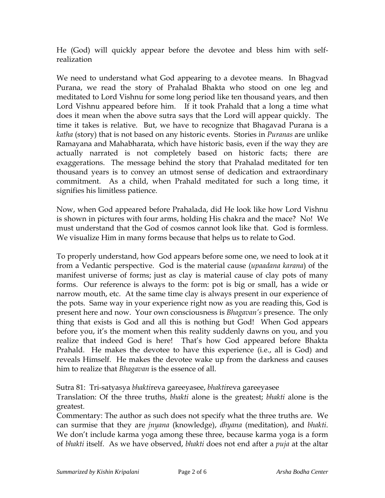He (God) will quickly appear before the devotee and bless him with selfrealization

We need to understand what God appearing to a devotee means. In Bhagvad Purana, we read the story of Prahalad Bhakta who stood on one leg and meditated to Lord Vishnu for some long period like ten thousand years, and then Lord Vishnu appeared before him. If it took Prahald that a long a time what does it mean when the above sutra says that the Lord will appear quickly. The time it takes is relative. But, we have to recognize that Bhagavad Purana is a *katha* (story) that is not based on any historic events. Stories in *Puranas* are unlike Ramayana and Mahabharata, which have historic basis, even if the way they are actually narrated is not completely based on historic facts; there are exaggerations. The message behind the story that Prahalad meditated for ten thousand years is to convey an utmost sense of dedication and extraordinary commitment. As a child, when Prahald meditated for such a long time, it signifies his limitless patience.

Now, when God appeared before Prahalada, did He look like how Lord Vishnu is shown in pictures with four arms, holding His chakra and the mace? No! We must understand that the God of cosmos cannot look like that. God is formless. We visualize Him in many forms because that helps us to relate to God.

To properly understand, how God appears before some one, we need to look at it from a Vedantic perspective. God is the material cause (*upaadana karana*) of the manifest universe of forms; just as clay is material cause of clay pots of many forms. Our reference is always to the form: pot is big or small, has a wide or narrow mouth, etc. At the same time clay is always present in our experience of the pots. Same way in your experience right now as you are reading this, God is present here and now. Your own consciousness is *Bhagavan's* presence. The only thing that exists is God and all this is nothing but God! When God appears before you, it's the moment when this reality suddenly dawns on you, and you realize that indeed God is here! That's how God appeared before Bhakta Prahald. He makes the devotee to have this experience (i.e., all is God) and reveals Himself. He makes the devotee wake up from the darkness and causes him to realize that *Bhagavan* is the essence of all.

## Sutra 81: Tri-satyasya *bhakti*reva gareeyasee, *bhakti*reva gareeyasee

Translation: Of the three truths, *bhakti* alone is the greatest; *bhakti* alone is the greatest.

Commentary: The author as such does not specify what the three truths are. We can surmise that they are *jnyana* (knowledge), *dhyana* (meditation), and *bhakti*. We don't include karma yoga among these three, because karma yoga is a form of *bhakti* itself. As we have observed, *bhakti* does not end after a *puja* at the altar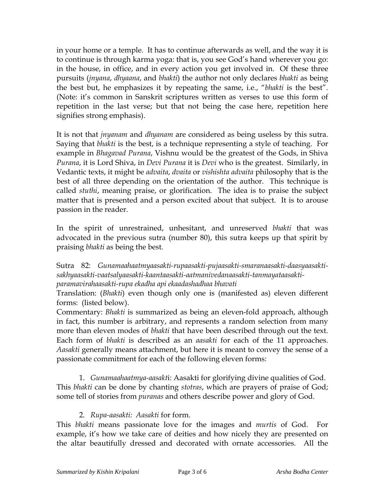in your home or a temple. It has to continue afterwards as well, and the way it is to continue is through karma yoga: that is, you see God's hand wherever you go: in the house, in office, and in every action you get involved in. Of these three pursuits (*jnyana*, *dhyaana*, and *bhakti*) the author not only declares *bhakti* as being the best but, he emphasizes it by repeating the same, i.e., "*bhakti* is the best". (Note: it's common in Sanskrit scriptures written as verses to use this form of repetition in the last verse; but that not being the case here, repetition here signifies strong emphasis).

It is not that *jnyanam* and *dhyanam* are considered as being useless by this sutra. Saying that *bhakti* is the best, is a technique representing a style of teaching. For example in *Bhagavad Purana*, Vishnu would be the greatest of the Gods, in Shiva *Purana*, it is Lord Shiva, in *Devi Purana* it is *Devi* who is the greatest. Similarly, in Vedantic texts, it might be *advaita*, *dvaita* or *vishishta advaita* philosophy that is the best of all three depending on the orientation of the author. This technique is called *stuthi*, meaning praise, or glorification. The idea is to praise the subject matter that is presented and a person excited about that subject. It is to arouse passion in the reader.

In the spirit of unrestrained, unhesitant, and unreserved *bhakti* that was advocated in the previous sutra (number 80), this sutra keeps up that spirit by praising *bhakti* as being the best.

## Sutra 82: *Gunamaahaatmyaasakti-rupaasakti-pujaasakti-smaranaasakti-daasyaasaktisakhyaasakti-vaatsalyaasakti-kaantaasakti-aatmanivedanaasakti-tanmayataasaktiparamavirahaasakti-rupa ekadha api ekaadashadhaa bhavati*

Translation: (*Bhakti*) even though only one is (manifested as) eleven different forms: (listed below).

Commentary: *Bhakti* is summarized as being an eleven-fold approach, although in fact, this number is arbitrary, and represents a random selection from many more than eleven modes of *bhakti* that have been described through out the text. Each form of *bhakti* is described as an *aasakti* for each of the 11 approaches. *Aasakti* generally means attachment, but here it is meant to convey the sense of a passionate commitment for each of the following eleven forms:

1. *Gunamaahaatmya-aasakt*i: Aasakti for glorifying divine qualities of God. This *bhakti* can be done by chanting *stotras*, which are prayers of praise of God; some tell of stories from *puranas* and others describe power and glory of God.

## 2. *Rupa-aasakti: Aasakti* for form.

This *bhakti* means passionate love for the images and *murtis* of God. For example, it's how we take care of deities and how nicely they are presented on the altar beautifully dressed and decorated with ornate accessories. All the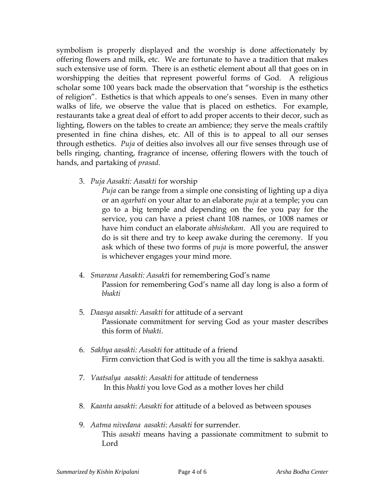symbolism is properly displayed and the worship is done affectionately by offering flowers and milk, etc. We are fortunate to have a tradition that makes such extensive use of form. There is an esthetic element about all that goes on in worshipping the deities that represent powerful forms of God. A religious scholar some 100 years back made the observation that "worship is the esthetics of religion". Esthetics is that which appeals to one's senses. Even in many other walks of life, we observe the value that is placed on esthetics. For example, restaurants take a great deal of effort to add proper accents to their decor, such as lighting, flowers on the tables to create an ambience; they serve the meals craftily presented in fine china dishes, etc. All of this is to appeal to all our senses through esthetics. *Puja* of deities also involves all our five senses through use of bells ringing, chanting, fragrance of incense, offering flowers with the touch of hands, and partaking of *prasad*.

3. *Puja Aasakti: Aasakti* for worship

*Puja* can be range from a simple one consisting of lighting up a diya or an *agarbati* on your altar to an elaborate *puja* at a temple; you can go to a big temple and depending on the fee you pay for the service, you can have a priest chant 108 names, or 1008 names or have him conduct an elaborate *abhishekam*. All you are required to do is sit there and try to keep awake during the ceremony. If you ask which of these two forms of *puja* is more powerful, the answer is whichever engages your mind more.

- 4. *Smarana Aasakti: Aasakt*i for remembering God's name Passion for remembering God's name all day long is also a form of *bhakti*
- 5. *Daasya aasakti: Aasakti* for attitude of a servant Passionate commitment for serving God as your master describes this form of *bhakti*.
- 6. *Sakhya aasakti: Aasakti* for attitude of a friend Firm conviction that God is with you all the time is sakhya aasakti.
- 7. *Vaatsalya aasakti*: *Aasakti* for attitude of tenderness In this *bhakti* you love God as a mother loves her child
- 8. *Kaanta aasakti*: *Aasakti* for attitude of a beloved as between spouses
- 9. *Aatma nivedana aasakti*: *Aasakti* for surrender. This *aasakti* means having a passionate commitment to submit to Lord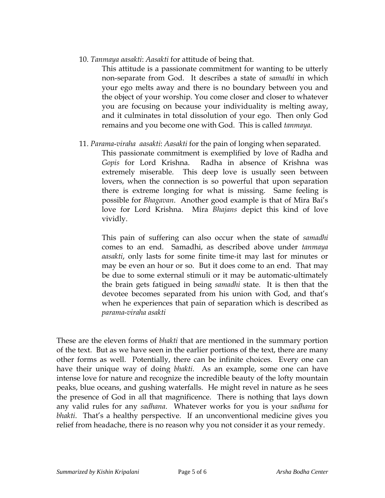10. *Tanmaya aasakti*: *Aasakti* for attitude of being that.

This attitude is a passionate commitment for wanting to be utterly non-separate from God. It describes a state of *samadhi* in which your ego melts away and there is no boundary between you and the object of your worship. You come closer and closer to whatever you are focusing on because your individuality is melting away, and it culminates in total dissolution of your ego. Then only God remains and you become one with God. This is called *tanmaya*.

11. *Parama*-*viraha aasakti*: *Aasakti* for the pain of longing when separated. This passionate commitment is exemplified by love of Radha and *Gopis* for Lord Krishna. Radha in absence of Krishna was extremely miserable. This deep love is usually seen between lovers, when the connection is so powerful that upon separation there is extreme longing for what is missing. Same feeling is possible for *Bhagavan*. Another good example is that of Mira Bai's love for Lord Krishna. Mira *Bhajans* depict this kind of love vividly.

This pain of suffering can also occur when the state of *samadhi* comes to an end. Samadhi, as described above under *tanmaya aasakti*, only lasts for some finite time-it may last for minutes or may be even an hour or so. But it does come to an end. That may be due to some external stimuli or it may be automatic-ultimately the brain gets fatigued in being *samadhi* state. It is then that the devotee becomes separated from his union with God, and that's when he experiences that pain of separation which is described as *parama*-*viraha asakti*

These are the eleven forms of *bhakti* that are mentioned in the summary portion of the text. But as we have seen in the earlier portions of the text, there are many other forms as well. Potentially, there can be infinite choices. Every one can have their unique way of doing *bhakti*. As an example, some one can have intense love for nature and recognize the incredible beauty of the lofty mountain peaks, blue oceans, and gushing waterfalls. He might revel in nature as he sees the presence of God in all that magnificence. There is nothing that lays down any valid rules for any *sadhana*. Whatever works for you is your *sadhana* for *bhakti*. That's a healthy perspective. If an unconventional medicine gives you relief from headache, there is no reason why you not consider it as your remedy.